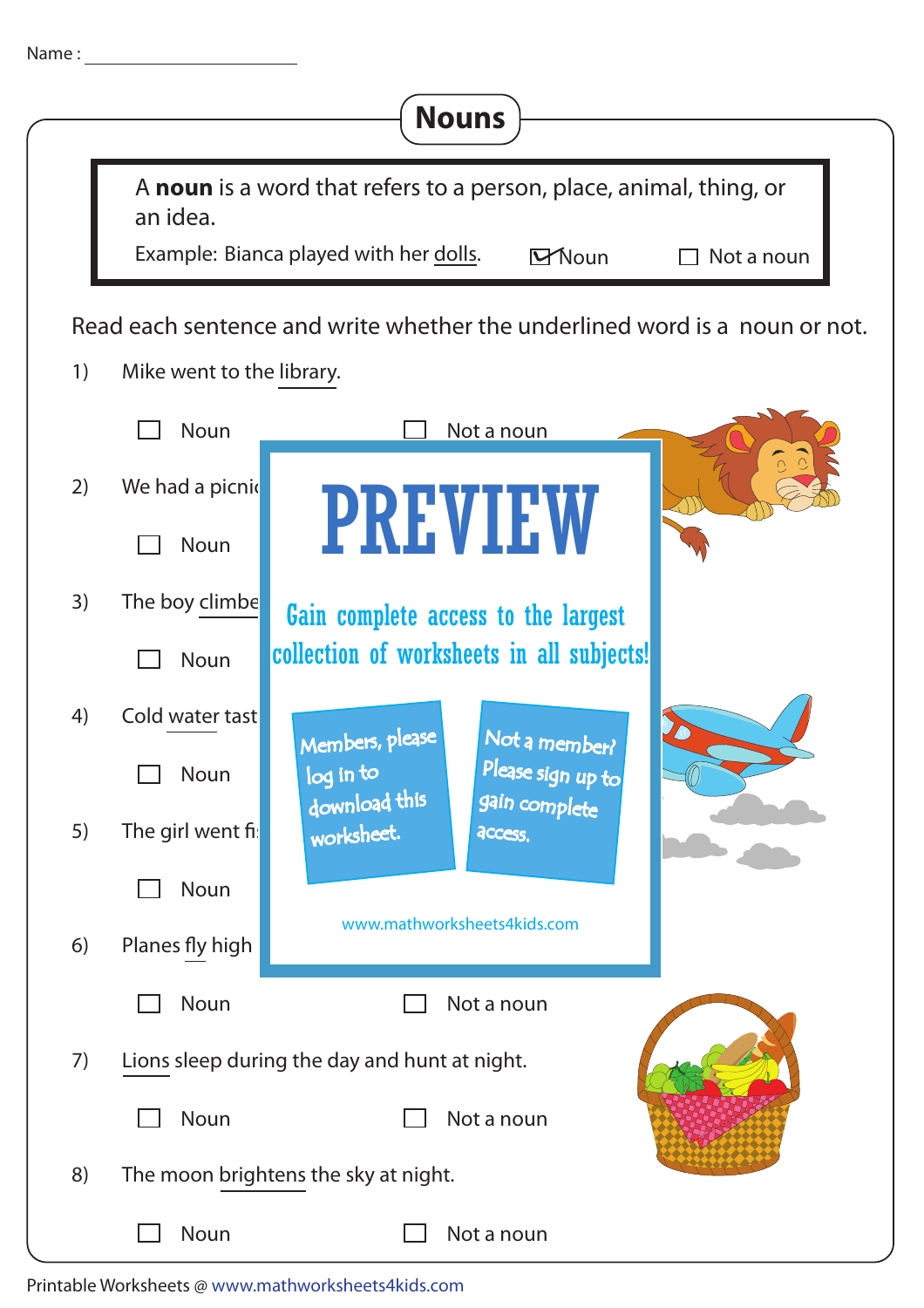| Name: |                           | <b>Nouns</b>                                                                                                                                |
|-------|---------------------------|---------------------------------------------------------------------------------------------------------------------------------------------|
|       | an idea.                  | A noun is a word that refers to a person, place, animal, thing, or<br>Example: Bianca played with her dolls.<br><b>Y</b> Noun<br>Not a noun |
| 1)    |                           | Read each sentence and write whether the underlined word is a noun or not.                                                                  |
|       | Mike went to the library. |                                                                                                                                             |
| 2)    | Noun<br>We had a picnid   | Not a noun                                                                                                                                  |
|       | Noun                      | <b>PREVIEW</b>                                                                                                                              |
| 3)    | The boy climbe            | Gain complete access to the largest                                                                                                         |
|       | Noun                      | collection of worksheets in all subjects!                                                                                                   |
| 4)    | Cold water tast           | Members, please<br>Not a member?                                                                                                            |
|       | Noun                      | Please sign up to<br>log in to                                                                                                              |
| 5)    | The girl went fis         | download this<br>gain complete<br>worksheet.<br>access.                                                                                     |
|       | Noun                      |                                                                                                                                             |
| 6)    | Planes fly high           | www.mathworksheets4kids.com                                                                                                                 |
|       | Noun                      | Not a noun                                                                                                                                  |
| 7)    |                           | Lions sleep during the day and hunt at night.                                                                                               |
|       | Noun                      | Not a noun                                                                                                                                  |
| 8)    |                           | The moon brightens the sky at night.                                                                                                        |
|       | Noun                      | Not a noun                                                                                                                                  |